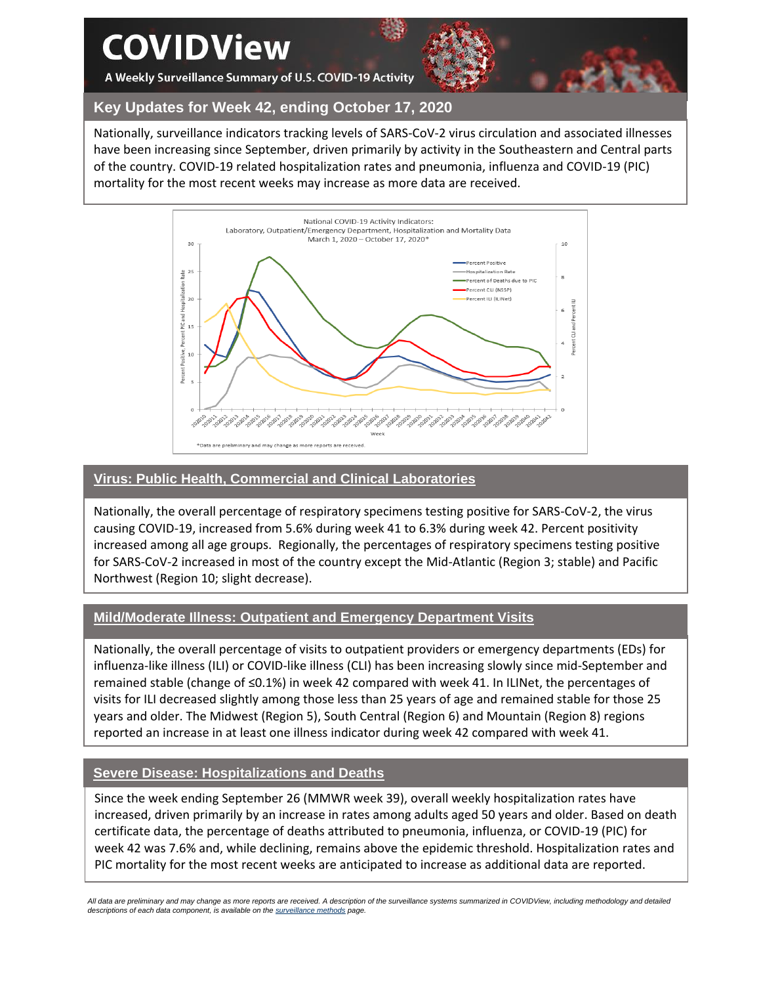# **COVIDView**

A Weekly Surveillance Summary of U.S. COVID-19 Activity



**Key Updates for Week 42, ending October 17, 2020**

Nationally, surveillance indicators tracking levels of SARS-CoV-2 virus circulation and associated illnesses have been increasing since September, driven primarily by activity in the Southeastern and Central parts of the country. COVID-19 related hospitalization rates and pneumonia, influenza and COVID-19 (PIC) mortality for the most recent weeks may increase as more data are received.



# **Virus: Public Health, Commercial and Clinical Laboratories**

Nationally, the overall percentage of respiratory specimens testing positive for SARS-CoV-2, the virus causing COVID-19, increased from 5.6% during week 41 to 6.3% during week 42. Percent positivity increased among all age groups. Regionally, the percentages of respiratory specimens testing positive for SARS-CoV-2 increased in most of the country except the Mid-Atlantic (Region 3; stable) and Pacific Northwest (Region 10; slight decrease).

# **Mild/Moderate Illness: Outpatient and Emergency Department Visits**

Nationally, the overall percentage of visits to outpatient providers or emergency departments (EDs) for influenza-like illness (ILI) or COVID-like illness (CLI) has been increasing slowly since mid-September and remained stable (change of ≤0.1%) in week 42 compared with week 41. In ILINet, the percentages of visits for ILI decreased slightly among those less than 25 years of age and remained stable for those 25 years and older. The Midwest (Region 5), South Central (Region 6) and Mountain (Region 8) regions reported an increase in at least one illness indicator during week 42 compared with week 41.

# **Severe Disease: Hospitalizations and Deaths**

Since the week ending September 26 (MMWR week 39), overall weekly hospitalization rates have increased, driven primarily by an increase in rates among adults aged 50 years and older. Based on death certificate data, the percentage of deaths attributed to pneumonia, influenza, or COVID-19 (PIC) for week 42 was 7.6% and, while declining, remains above the epidemic threshold. Hospitalization rates and PIC mortality for the most recent weeks are anticipated to increase as additional data are reported.

*All data are preliminary and may change as more reports are received. A description of the surveillance systems summarized in COVIDView, including methodology and detailed descriptions of each data component, is available on th[e surveillance methods](https://www.cdc.gov/coronavirus/2019-ncov/covid-data/covidview/purpose-methods.html) page.*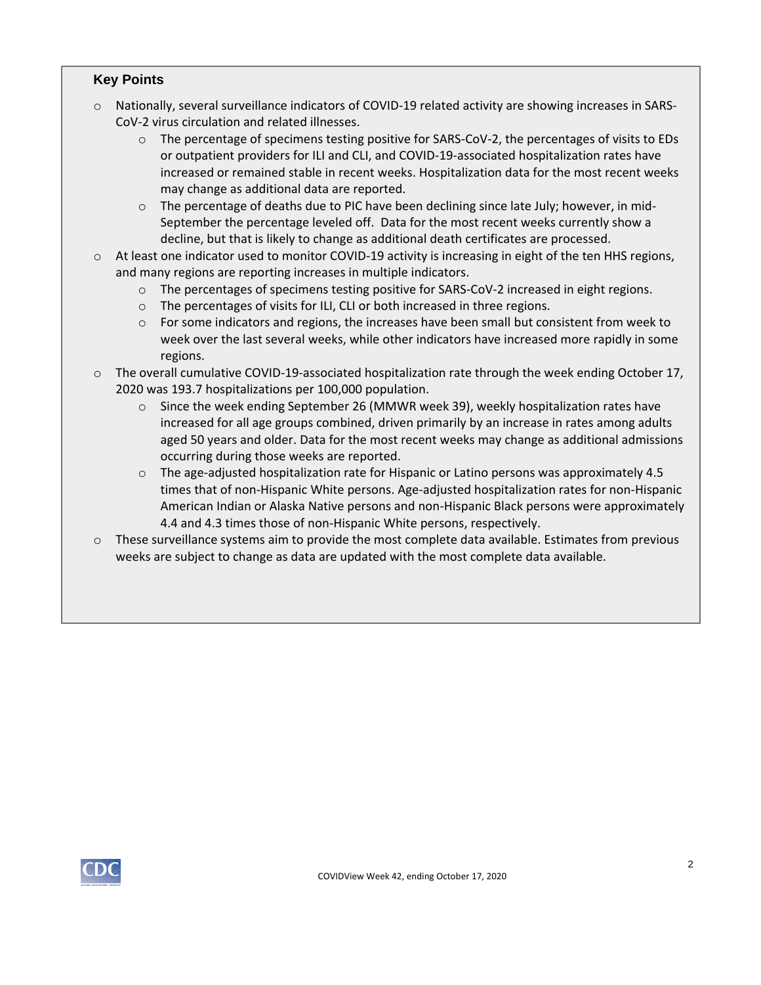## **Key Points**

- o Nationally, several surveillance indicators of COVID-19 related activity are showing increases in SARS-CoV-2 virus circulation and related illnesses.
	- $\circ$  The percentage of specimens testing positive for SARS-CoV-2, the percentages of visits to EDs or outpatient providers for ILI and CLI, and COVID-19-associated hospitalization rates have increased or remained stable in recent weeks. Hospitalization data for the most recent weeks may change as additional data are reported.
	- o The percentage of deaths due to PIC have been declining since late July; however, in mid-September the percentage leveled off. Data for the most recent weeks currently show a decline, but that is likely to change as additional death certificates are processed.
- o At least one indicator used to monitor COVID-19 activity is increasing in eight of the ten HHS regions, and many regions are reporting increases in multiple indicators.
	- o The percentages of specimens testing positive for SARS-CoV-2 increased in eight regions.
	- o The percentages of visits for ILI, CLI or both increased in three regions.
	- o For some indicators and regions, the increases have been small but consistent from week to week over the last several weeks, while other indicators have increased more rapidly in some regions.
- $\circ$  The overall cumulative COVID-19-associated hospitalization rate through the week ending October 17, 2020 was 193.7 hospitalizations per 100,000 population.
	- o Since the week ending September 26 (MMWR week 39), weekly hospitalization rates have increased for all age groups combined, driven primarily by an increase in rates among adults aged 50 years and older. Data for the most recent weeks may change as additional admissions occurring during those weeks are reported.
	- $\circ$  The age-adjusted hospitalization rate for Hispanic or Latino persons was approximately 4.5 times that of non-Hispanic White persons. Age-adjusted hospitalization rates for non-Hispanic American Indian or Alaska Native persons and non-Hispanic Black persons were approximately 4.4 and 4.3 times those of non-Hispanic White persons, respectively.
- $\circ$  These surveillance systems aim to provide the most complete data available. Estimates from previous weeks are subject to change as data are updated with the most complete data available.

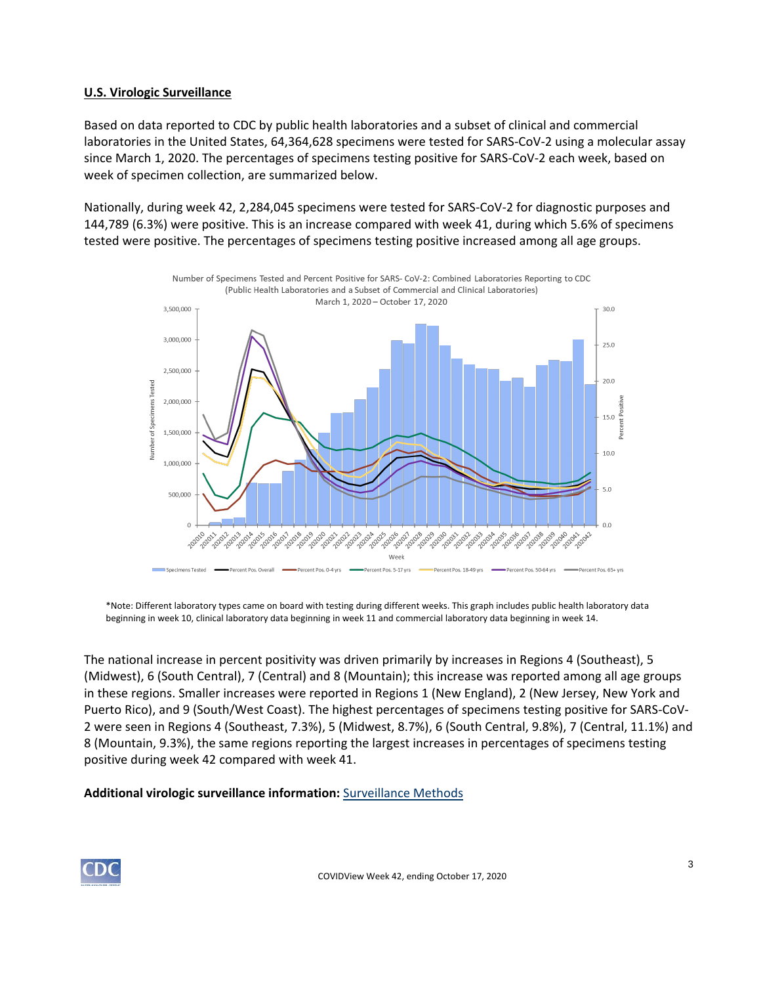## **U.S. Virologic Surveillance**

Based on data reported to CDC by public health laboratories and a subset of clinical and commercial laboratories in the United States, 64,364,628 specimens were tested for SARS-CoV-2 using a molecular assay since March 1, 2020. The percentages of specimens testing positive for SARS-CoV-2 each week, based on week of specimen collection, are summarized below.

Nationally, during week 42, 2,284,045 specimens were tested for SARS-CoV-2 for diagnostic purposes and 144,789 (6.3%) were positive. This is an increase compared with week 41, during which 5.6% of specimens tested were positive. The percentages of specimens testing positive increased among all age groups.



\*Note: Different laboratory types came on board with testing during different weeks. This graph includes public health laboratory data beginning in week 10, clinical laboratory data beginning in week 11 and commercial laboratory data beginning in week 14.

The national increase in percent positivity was driven primarily by increases in Regions 4 (Southeast), 5 (Midwest), 6 (South Central), 7 (Central) and 8 (Mountain); this increase was reported among all age groups in these regions. Smaller increases were reported in Regions 1 (New England), 2 (New Jersey, New York and Puerto Rico), and 9 (South/West Coast). The highest percentages of specimens testing positive for SARS-CoV-2 were seen in Regions 4 (Southeast, 7.3%), 5 (Midwest, 8.7%), 6 (South Central, 9.8%), 7 (Central, 11.1%) and 8 (Mountain, 9.3%), the same regions reporting the largest increases in percentages of specimens testing positive during week 42 compared with week 41.

#### **Additional virologic surveillance information:** [Surveillance Methods](https://www.cdc.gov/coronavirus/2019-ncov/covid-data/covidview/purpose-methods.html#virologic)

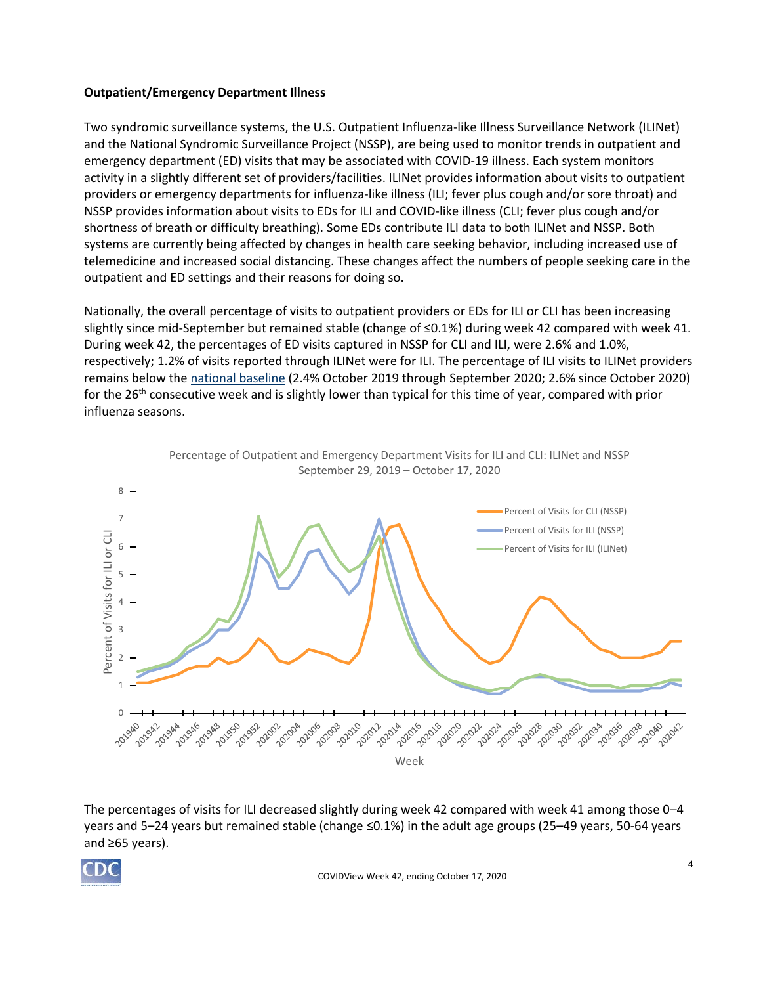## **Outpatient/Emergency Department Illness**

Two syndromic surveillance systems, the U.S. Outpatient Influenza-like Illness Surveillance Network (ILINet) and the National Syndromic Surveillance Project (NSSP), are being used to monitor trends in outpatient and emergency department (ED) visits that may be associated with COVID-19 illness. Each system monitors activity in a slightly different set of providers/facilities. ILINet provides information about visits to outpatient providers or emergency departments for influenza-like illness (ILI; fever plus cough and/or sore throat) and NSSP provides information about visits to EDs for ILI and COVID-like illness (CLI; fever plus cough and/or shortness of breath or difficulty breathing). Some EDs contribute ILI data to both ILINet and NSSP. Both systems are currently being affected by changes in health care seeking behavior, including increased use of telemedicine and increased social distancing. These changes affect the numbers of people seeking care in the outpatient and ED settings and their reasons for doing so.

Nationally, the overall percentage of visits to outpatient providers or EDs for ILI or CLI has been increasing slightly since mid-September but remained stable (change of ≤0.1%) during week 42 compared with week 41. During week 42, the percentages of ED visits captured in NSSP for CLI and ILI, were 2.6% and 1.0%, respectively; 1.2% of visits reported through ILINet were for ILI. The percentage of ILI visits to ILINet providers remains below the [national baseline](https://www.cdc.gov/coronavirus/2019-ncov/covid-data/covidview/purpose-methods.html#outpatient) (2.4% October 2019 through September 2020; 2.6% since October 2020) for the 26<sup>th</sup> consecutive week and is slightly lower than typical for this time of year, compared with prior influenza seasons.



The percentages of visits for ILI decreased slightly during week 42 compared with week 41 among those 0–4 years and 5–24 years but remained stable (change ≤0.1%) in the adult age groups (25–49 years, 50-64 years and ≥65 years).

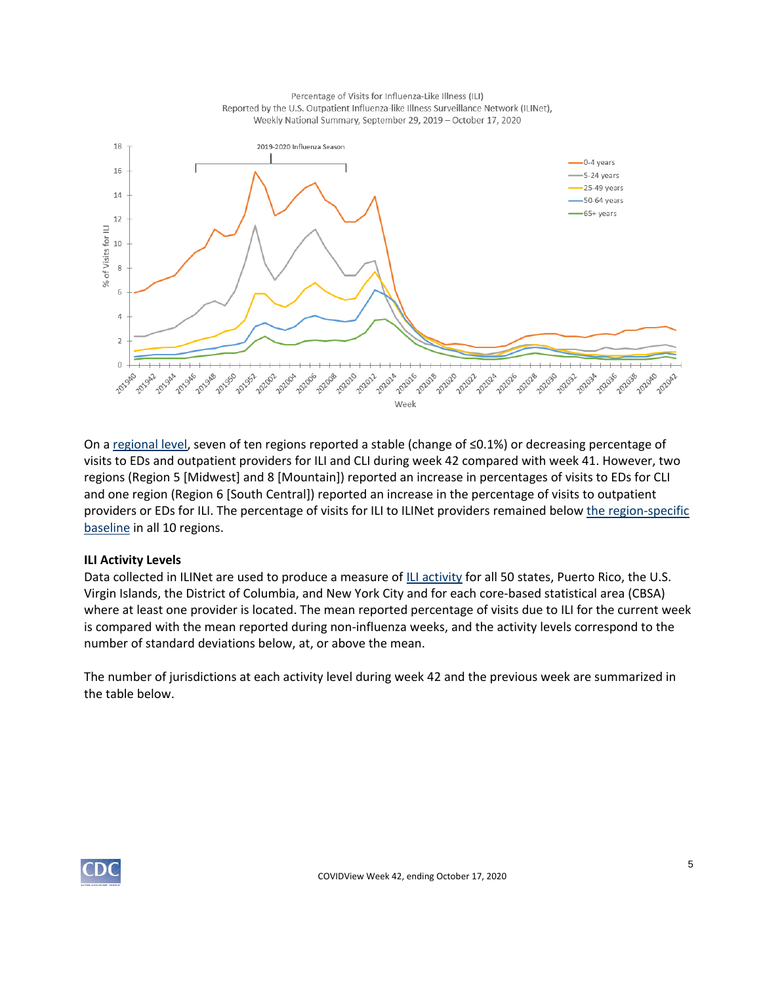Percentage of Visits for Influenza-Like Illness (ILI) Reported by the U.S. Outpatient Influenza-like Illness Surveillance Network (ILINet), Weekly National Summary, September 29, 2019 - October 17, 2020



On a [regional level,](https://www.hhs.gov/about/agencies/iea/regional-offices/index.html) seven of ten regions reported a stable (change of ≤0.1%) or decreasing percentage of visits to EDs and outpatient providers for ILI and CLI during week 42 compared with week 41. However, two regions (Region 5 [Midwest] and 8 [Mountain]) reported an increase in percentages of visits to EDs for CLI and one region (Region 6 [South Central]) reported an increase in the percentage of visits to outpatient providers or EDs for ILI. The percentage of visits for ILI to ILINet providers remained below [the region-specific](https://www.cdc.gov/coronavirus/2019-ncov/covid-data/covidview/purpose-methods.html#outpatient) [baseline](https://www.cdc.gov/coronavirus/2019-ncov/covid-data/covidview/purpose-methods.html#outpatient) in all 10 regions.

#### **ILI Activity Levels**

Data collected in ILINet are used to produce a measure of [ILI activity](https://www.cdc.gov/coronavirus/2019-ncov/covid-data/covidview/purpose-methods.html#outpatient) for all 50 states, Puerto Rico, the U.S. Virgin Islands, the District of Columbia, and New York City and for each core-based statistical area (CBSA) where at least one provider is located. The mean reported percentage of visits due to ILI for the current week is compared with the mean reported during non-influenza weeks, and the activity levels correspond to the number of standard deviations below, at, or above the mean.

The number of jurisdictions at each activity level during week 42 and the previous week are summarized in the table below.

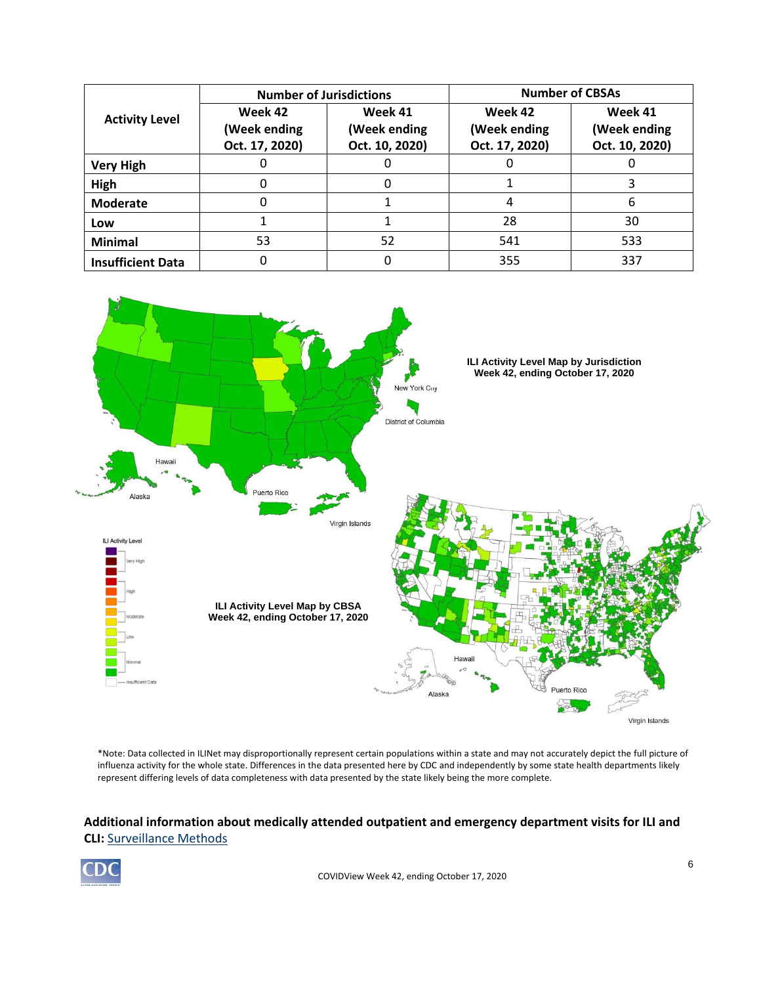|                          | <b>Number of Jurisdictions</b>            |                                           | <b>Number of CBSAs</b>                    |                                           |  |  |
|--------------------------|-------------------------------------------|-------------------------------------------|-------------------------------------------|-------------------------------------------|--|--|
| <b>Activity Level</b>    | Week 42<br>(Week ending<br>Oct. 17, 2020) | Week 41<br>(Week ending<br>Oct. 10, 2020) | Week 42<br>(Week ending<br>Oct. 17, 2020) | Week 41<br>(Week ending<br>Oct. 10, 2020) |  |  |
| <b>Very High</b>         |                                           |                                           |                                           |                                           |  |  |
| High                     | O                                         |                                           |                                           |                                           |  |  |
| <b>Moderate</b>          | 0                                         |                                           | 4                                         | 6                                         |  |  |
| Low                      |                                           |                                           | 28                                        | 30                                        |  |  |
| <b>Minimal</b>           | 53                                        | 52                                        | 541                                       | 533                                       |  |  |
| <b>Insufficient Data</b> | 0                                         |                                           | 355                                       | 337                                       |  |  |



\*Note: Data collected in ILINet may disproportionally represent certain populations within a state and may not accurately depict the full picture of influenza activity for the whole state. Differences in the data presented here by CDC and independently by some state health departments likely represent differing levels of data completeness with data presented by the state likely being the more complete.

# **Additional information about medically attended outpatient and emergency department visits for ILI and CLI:** [Surveillance Methods](https://www.cdc.gov/coronavirus/2019-ncov/covid-data/covidview/purpose-methods.html#outpatient)

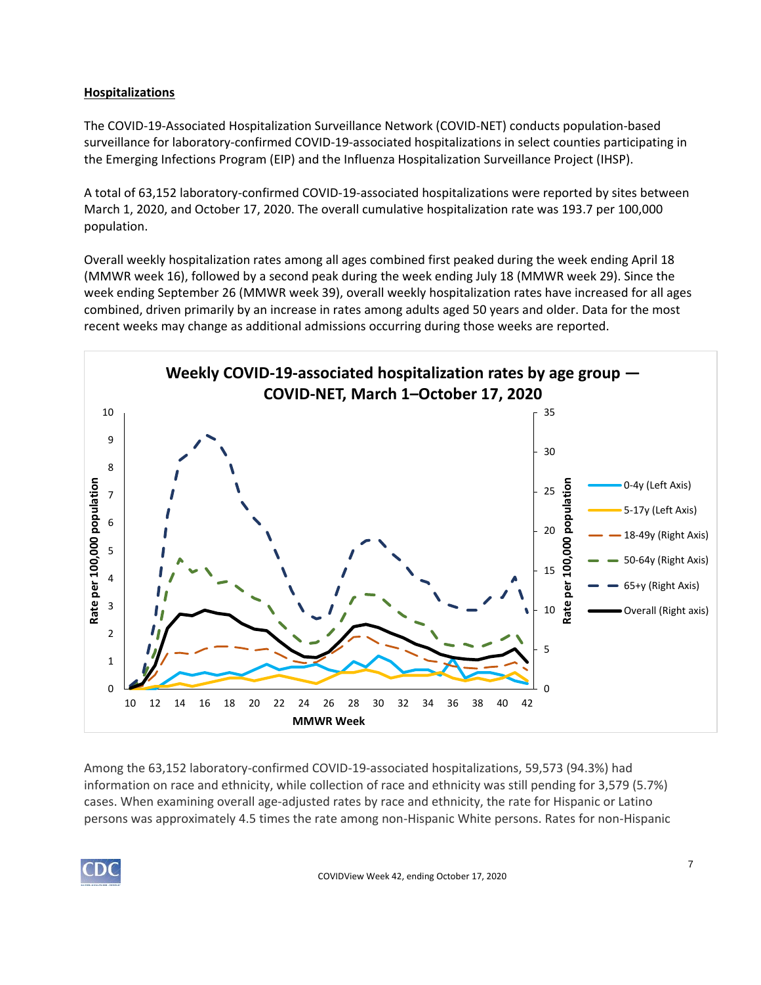# **Hospitalizations**

The COVID-19-Associated Hospitalization Surveillance Network (COVID-NET) conducts population-based surveillance for laboratory-confirmed COVID-19-associated hospitalizations in select counties participating in the Emerging Infections Program (EIP) and the Influenza Hospitalization Surveillance Project (IHSP).

A total of 63,152 laboratory-confirmed COVID-19-associated hospitalizations were reported by sites between March 1, 2020, and October 17, 2020. The overall cumulative hospitalization rate was 193.7 per 100,000 population.

Overall weekly hospitalization rates among all ages combined first peaked during the week ending April 18 (MMWR week 16), followed by a second peak during the week ending July 18 (MMWR week 29). Since the week ending September 26 (MMWR week 39), overall weekly hospitalization rates have increased for all ages combined, driven primarily by an increase in rates among adults aged 50 years and older. Data for the most recent weeks may change as additional admissions occurring during those weeks are reported.



Among the 63,152 laboratory-confirmed COVID-19-associated hospitalizations, 59,573 (94.3%) had information on race and ethnicity, while collection of race and ethnicity was still pending for 3,579 (5.7%) cases. When examining overall age-adjusted rates by race and ethnicity, the rate for Hispanic or Latino persons was approximately 4.5 times the rate among non-Hispanic White persons. Rates for non-Hispanic

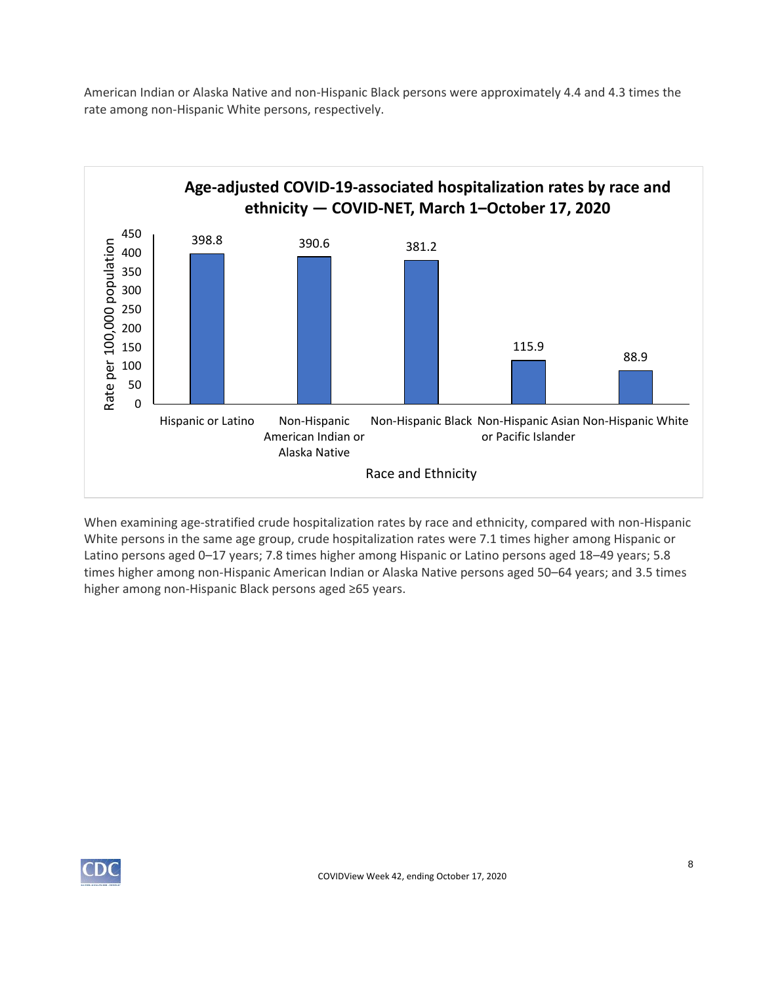American Indian or Alaska Native and non-Hispanic Black persons were approximately 4.4 and 4.3 times the rate among non-Hispanic White persons, respectively.



When examining age-stratified crude hospitalization rates by race and ethnicity, compared with non-Hispanic White persons in the same age group, crude hospitalization rates were 7.1 times higher among Hispanic or Latino persons aged 0–17 years; 7.8 times higher among Hispanic or Latino persons aged 18–49 years; 5.8 times higher among non-Hispanic American Indian or Alaska Native persons aged 50–64 years; and 3.5 times higher among non-Hispanic Black persons aged ≥65 years.

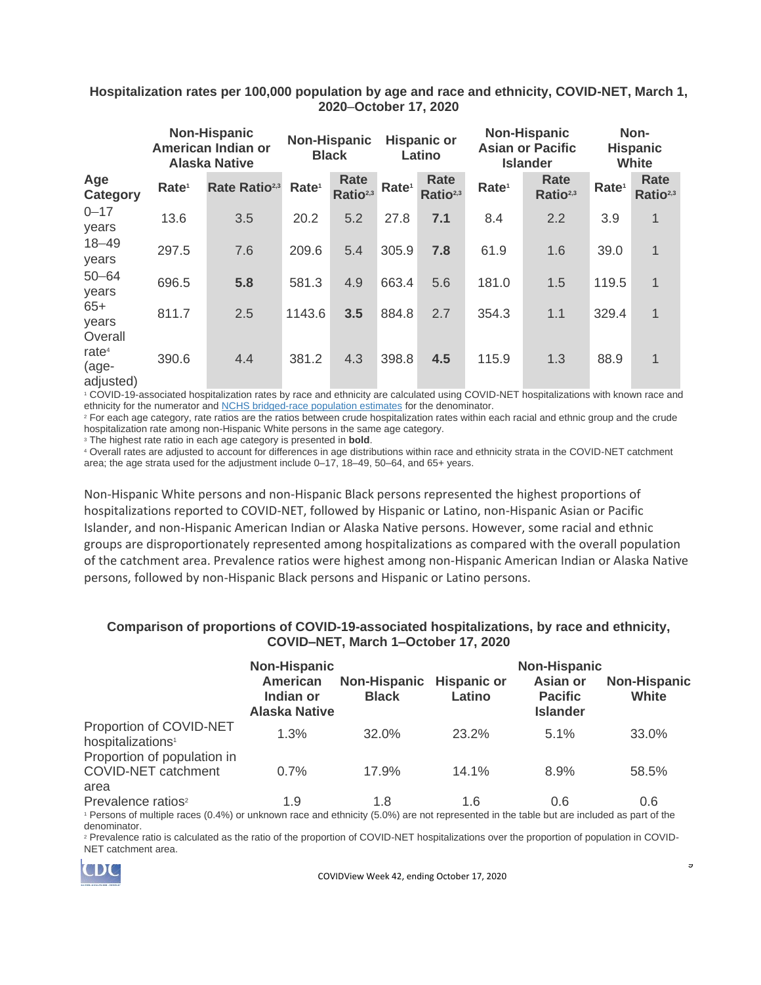| Hospitalization rates per 100,000 population by age and race and ethnicity, COVID-NET, March 1, |  |
|-------------------------------------------------------------------------------------------------|--|
| 2020–October 17, 2020                                                                           |  |

|                                | <b>Non-Hispanic</b><br>American Indian or<br><b>Alaska Native</b> |                           | <b>Non-Hispanic</b><br><b>Black</b> |                              | <b>Hispanic or</b><br>Latino |                              | <b>Non-Hispanic</b><br><b>Asian or Pacific</b><br><b>Islander</b> |                              | Non-<br><b>Hispanic</b><br><b>White</b> |                              |
|--------------------------------|-------------------------------------------------------------------|---------------------------|-------------------------------------|------------------------------|------------------------------|------------------------------|-------------------------------------------------------------------|------------------------------|-----------------------------------------|------------------------------|
| Age<br><b>Category</b>         | Rate <sup>1</sup>                                                 | Rate Ratio <sup>2,3</sup> | Rate <sup>1</sup>                   | Rate<br>Ratio <sup>2,3</sup> | Rate <sup>1</sup>            | Rate<br>Ratio <sup>2,3</sup> | Rate <sup>1</sup>                                                 | Rate<br>Ratio <sup>2,3</sup> | Rate <sup>1</sup>                       | Rate<br>Ratio <sup>2,3</sup> |
| $0 - 17$<br>years              | 13.6                                                              | 3.5                       | 20.2                                | 5.2                          | 27.8                         | 7.1                          | 8.4                                                               | 2.2                          | 3.9                                     | 1                            |
| $18 - 49$<br>years             | 297.5                                                             | 7.6                       | 209.6                               | 5.4                          | 305.9                        | 7.8                          | 61.9                                                              | 1.6                          | 39.0                                    | 1                            |
| $50 - 64$<br>years             | 696.5                                                             | 5.8                       | 581.3                               | 4.9                          | 663.4                        | 5.6                          | 181.0                                                             | 1.5                          | 119.5                                   | $\mathbf 1$                  |
| $65+$<br>vears<br>Overall      | 811.7                                                             | 2.5                       | 1143.6                              | 3.5                          | 884.8                        | 2.7                          | 354.3                                                             | 1.1                          | 329.4                                   | 1                            |
| rate $4$<br>(age-<br>adjusted) | 390.6                                                             | 4.4                       | 381.2                               | 4.3                          | 398.8                        | 4.5                          | 115.9                                                             | 1.3                          | 88.9                                    | 1                            |

<sup>1</sup> COVID-19-associated hospitalization rates by race and ethnicity are calculated using COVID-NET hospitalizations with known race and ethnicity for the numerator and [NCHS bridged-race population](https://www.cdc.gov/nchs/nvss/bridged_race.htm) estimates for the denominator.

<sup>2</sup> For each age category, rate ratios are the ratios between crude hospitalization rates within each racial and ethnic group and the crude hospitalization rate among non-Hispanic White persons in the same age category.

<sup>3</sup> The highest rate ratio in each age category is presented in **bold**.

<sup>4</sup> Overall rates are adjusted to account for differences in age distributions within race and ethnicity strata in the COVID-NET catchment area; the age strata used for the adjustment include 0–17, 18–49, 50–64, and 65+ years.

Non-Hispanic White persons and non-Hispanic Black persons represented the highest proportions of hospitalizations reported to COVID-NET, followed by Hispanic or Latino, non-Hispanic Asian or Pacific Islander, and non-Hispanic American Indian or Alaska Native persons. However, some racial and ethnic groups are disproportionately represented among hospitalizations as compared with the overall population of the catchment area. Prevalence ratios were highest among non-Hispanic American Indian or Alaska Native persons, followed by non-Hispanic Black persons and Hispanic or Latino persons.

#### **Comparison of proportions of COVID-19-associated hospitalizations, by race and ethnicity, COVID–NET, March 1–October 17, 2020**

|                                                                                                                                                                          | <b>Non-Hispanic</b><br>American<br>Indian or<br><b>Alaska Native</b> | <b>Non-Hispanic</b><br><b>Black</b> | <b>Hispanic or</b><br>Latino | <b>Non-Hispanic</b><br>Asian or<br><b>Pacific</b><br><b>Islander</b> | <b>Non-Hispanic</b><br>White |
|--------------------------------------------------------------------------------------------------------------------------------------------------------------------------|----------------------------------------------------------------------|-------------------------------------|------------------------------|----------------------------------------------------------------------|------------------------------|
| Proportion of COVID-NET<br>hospitalizations <sup>1</sup>                                                                                                                 | 1.3%                                                                 | 32.0%                               | 23.2%                        | 5.1%                                                                 | 33.0%                        |
| Proportion of population in<br><b>COVID-NET catchment</b><br>area                                                                                                        | $0.7\%$                                                              | 17.9%                               | 14.1%                        | 8.9%                                                                 | 58.5%                        |
| Prevalence ratios <sup>2</sup><br>1 Deresse of multiple roses (0,40) exuminous rose and othnight (E,00) are not represented in the topic hut are included as nort of the | 1.9                                                                  | 1.8                                 | 1.6                          | 0.6                                                                  | 0.6                          |

<sup>1</sup> Persons of multiple races (0.4%) or unknown race and ethnicity (5.0%) are not represented in the table but are included as part of the denominator.

<sup>2</sup> Prevalence ratio is calculated as the ratio of the proportion of COVID-NET hospitalizations over the proportion of population in COVID-NET catchment area.



COVIDView Week 42, ending October 17, 2020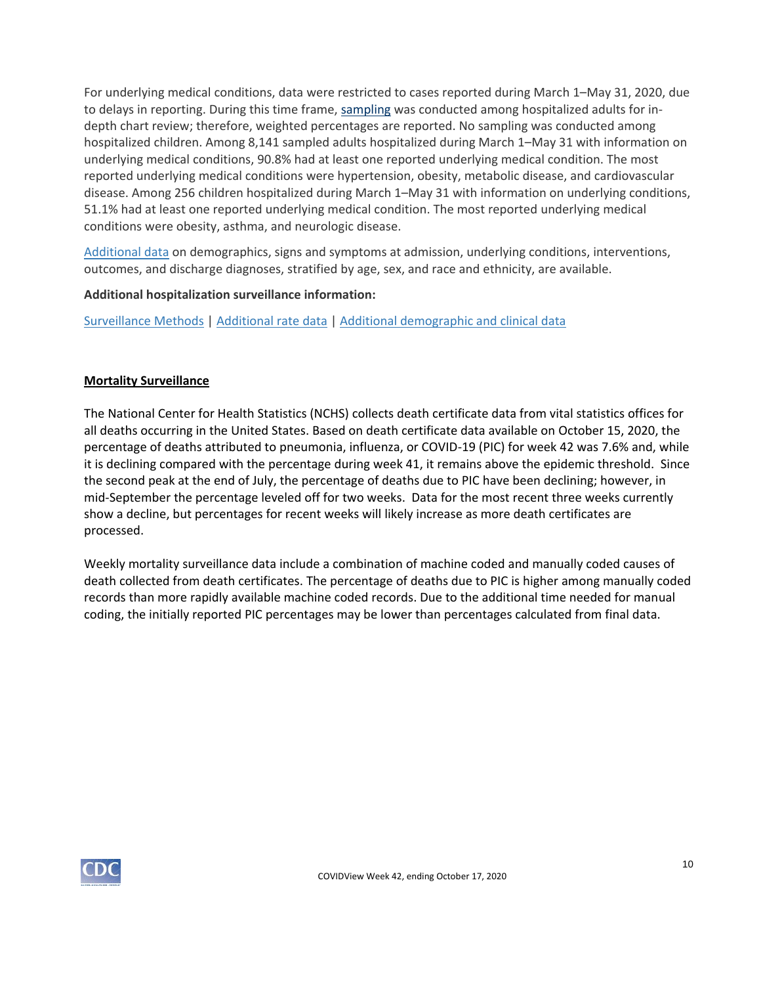For underlying medical conditions, data were restricted to cases reported during March 1–May 31, 2020, due to delays in reporting. During this time frame, [sampling](https://www.cdc.gov/coronavirus/2019-ncov/covid-data/covidview/purpose-methods.html#hospitalization) was conducted among hospitalized adults for indepth chart review; therefore, weighted percentages are reported. No sampling was conducted among hospitalized children. Among 8,141 sampled adults hospitalized during March 1–May 31 with information on underlying medical conditions, 90.8% had at least one reported underlying medical condition. The most reported underlying medical conditions were hypertension, obesity, metabolic disease, and cardiovascular disease. Among 256 children hospitalized during March 1–May 31 with information on underlying conditions, 51.1% had at least one reported underlying medical condition. The most reported underlying medical conditions were obesity, asthma, and neurologic disease.

[Additional data](https://gis.cdc.gov/grasp/COVIDNet/COVID19_5.html) on demographics, signs and symptoms at admission, underlying conditions, interventions, outcomes, and discharge diagnoses, stratified by age, sex, and race and ethnicity, are available.

## **Additional hospitalization surveillance information:**

[Surveillance Methods](https://www.cdc.gov/coronavirus/2019-ncov/covid-data/covidview/purpose-methods.html#hospitalization) | [Additional rate data](https://gis.cdc.gov/grasp/COVIDNet/COVID19_3.html) | [Additional demographic and clinical data](https://gis.cdc.gov/grasp/COVIDNet/COVID19_5.html)

## **Mortality Surveillance**

The National Center for Health Statistics (NCHS) collects death certificate data from vital statistics offices for all deaths occurring in the United States. Based on death certificate data available on October 15, 2020, the percentage of deaths attributed to pneumonia, influenza, or COVID-19 (PIC) for week 42 was 7.6% and, while it is declining compared with the percentage during week 41, it remains above the epidemic threshold. Since the second peak at the end of July, the percentage of deaths due to PIC have been declining; however, in mid-September the percentage leveled off for two weeks. Data for the most recent three weeks currently show a decline, but percentages for recent weeks will likely increase as more death certificates are processed.

Weekly mortality surveillance data include a combination of machine coded and manually coded causes of death collected from death certificates. The percentage of deaths due to PIC is higher among manually coded records than more rapidly available machine coded records. Due to the additional time needed for manual coding, the initially reported PIC percentages may be lower than percentages calculated from final data.